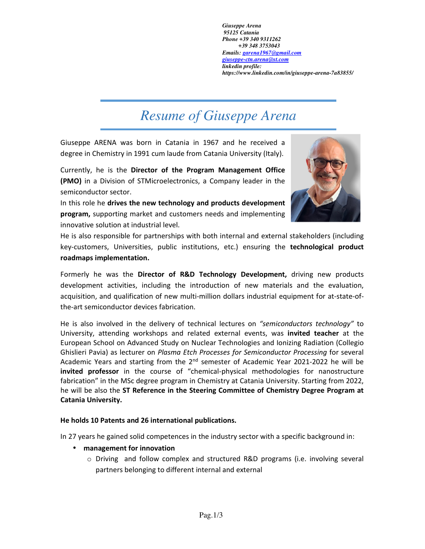*Giuseppe Arena 95125 Catania Phone +39 340 9311262 +39 348 3753043 Emails: garena1967@gmail.com giuseppe-ctn.arena@st.com linkedin profile: https://www.linkedin.com/in/giuseppe-arena-7a83855/*

## *Resume of Giuseppe Arena*

Giuseppe ARENA was born in Catania in 1967 and he received a degree in Chemistry in 1991 cum laude from Catania University (Italy).

Currently, he is the **Director of the Program Management Office (PMO)** in a Division of STMicroelectronics, a Company leader in the semiconductor sector.

In this role he **drives the new technology and products development program,** supporting market and customers needs and implementing innovative solution at industrial level.



He is also responsible for partnerships with both internal and external stakeholders (including key-customers, Universities, public institutions, etc.) ensuring the **technological product roadmaps implementation.** 

Formerly he was the **Director of R&D Technology Development,** driving new products development activities, including the introduction of new materials and the evaluation, acquisition, and qualification of new multi-million dollars industrial equipment for at-state-ofthe-art semiconductor devices fabrication.

He is also involved in the delivery of technical lectures on *"semiconductors technology"* to University, attending workshops and related external events, was **invited teacher** at the European School on Advanced Study on Nuclear Technologies and Ionizing Radiation (Collegio Ghislieri Pavia) as lecturer on *Plasma Etch Processes for Semiconductor Processing* for several Academic Years and starting from the  $2<sup>nd</sup>$  semester of Academic Year 2021-2022 he will be **invited professor** in the course of "chemical-physical methodologies for nanostructure fabrication" in the MSc degree program in Chemistry at Catania University. Starting from 2022, he will be also the **ST Reference in the Steering Committee of Chemistry Degree Program at Catania University.** 

## **He holds 10 Patents and 26 international publications.**

In 27 years he gained solid competences in the industry sector with a specific background in:

- **management for innovation** 
	- o Driving and follow complex and structured R&D programs (i.e. involving several partners belonging to different internal and external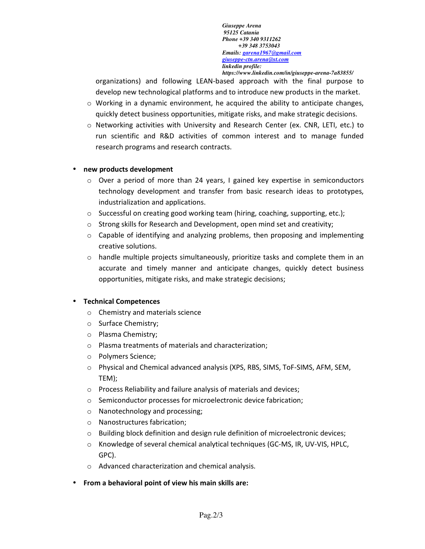*Giuseppe Arena 95125 Catania Phone +39 340 9311262 +39 348 3753043 Emails: garena1967@gmail.com giuseppe-ctn.arena@st.com linkedin profile: https://www.linkedin.com/in/giuseppe-arena-7a83855/*

organizations) and following LEAN-based approach with the final purpose to develop new technological platforms and to introduce new products in the market.

- $\circ$  Working in a dynamic environment, he acquired the ability to anticipate changes, quickly detect business opportunities, mitigate risks, and make strategic decisions.
- o Networking activities with University and Research Center (ex. CNR, LETI, etc.) to run scientific and R&D activities of common interest and to manage funded research programs and research contracts.

## • **new products development**

- $\circ$  Over a period of more than 24 years, I gained key expertise in semiconductors technology development and transfer from basic research ideas to prototypes, industrialization and applications.
- o Successful on creating good working team (hiring, coaching, supporting, etc.);
- o Strong skills for Research and Development, open mind set and creativity;
- $\circ$  Capable of identifying and analyzing problems, then proposing and implementing creative solutions.
- $\circ$  handle multiple projects simultaneously, prioritize tasks and complete them in an accurate and timely manner and anticipate changes, quickly detect business opportunities, mitigate risks, and make strategic decisions;

## • **Technical Competences**

- o Chemistry and materials science
- o Surface Chemistry;
- o Plasma Chemistry;
- o Plasma treatments of materials and characterization;
- o Polymers Science;
- o Physical and Chemical advanced analysis (XPS, RBS, SIMS, ToF-SIMS, AFM, SEM, TEM);
- o Process Reliability and failure analysis of materials and devices;
- o Semiconductor processes for microelectronic device fabrication;
- o Nanotechnology and processing;
- o Nanostructures fabrication;
- $\circ$  Building block definition and design rule definition of microelectronic devices;
- o Knowledge of several chemical analytical techniques (GC-MS, IR, UV-VIS, HPLC, GPC).
- o Advanced characterization and chemical analysis.
- **From a behavioral point of view his main skills are:**